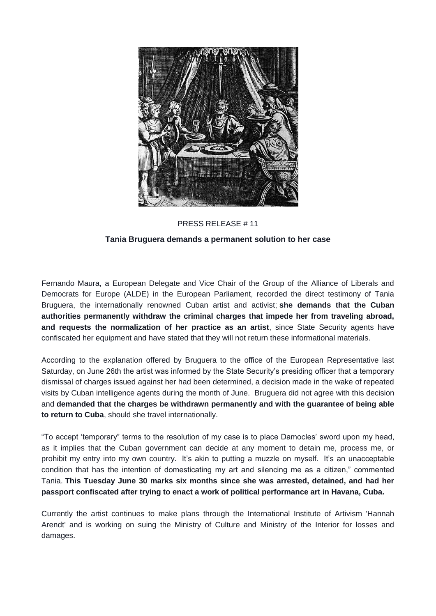

## PRESS RELEASE # 11

## **Tania Bruguera demands a permanent solution to her case**

Fernando Maura, a European Delegate and Vice Chair of the Group of the Alliance of Liberals and Democrats for Europe (ALDE) in the European Parliament, recorded the direct testimony of Tania Bruguera, the internationally renowned Cuban artist and activist; **she demands that the Cuban authorities permanently withdraw the criminal charges that impede her from traveling abroad, and requests the normalization of her practice as an artist**, since State Security agents have confiscated her equipment and have stated that they will not return these informational materials.

According to the explanation offered by Bruguera to the office of the European Representative last Saturday, on June 26th the artist was informed by the State Security's presiding officer that a temporary dismissal of charges issued against her had been determined, a decision made in the wake of repeated visits by Cuban intelligence agents during the month of June. Bruguera did not agree with this decision and **demanded that the charges be withdrawn permanently and with the guarantee of being able to return to Cuba**, should she travel internationally.

"To accept 'temporary" terms to the resolution of my case is to place Damocles' sword upon my head, as it implies that the Cuban government can decide at any moment to detain me, process me, or prohibit my entry into my own country. It's akin to putting a muzzle on myself. It's an unacceptable condition that has the intention of domesticating my art and silencing me as a citizen," commented Tania. **This Tuesday June 30 marks six months since she was arrested, detained, and had her passport confiscated after trying to enact a work of political performance art in Havana, Cuba.**

Currently the artist continues to make plans through the International Institute of Artivism 'Hannah Arendt' and is working on suing the Ministry of Culture and Ministry of the Interior for losses and damages.